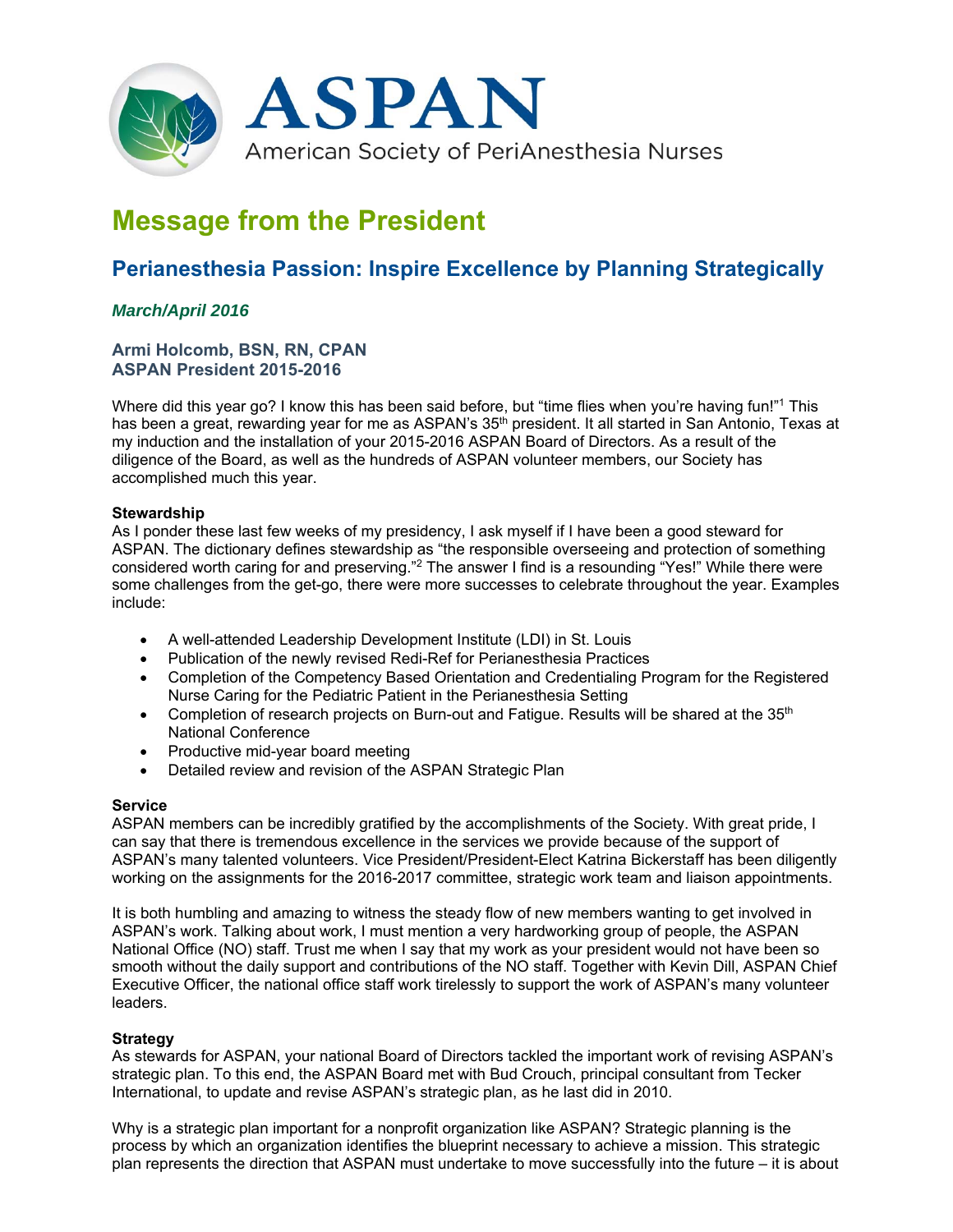

# **Message from the President**

## **Perianesthesia Passion: Inspire Excellence by Planning Strategically**

### *March/April 2016*

#### **Armi Holcomb, BSN, RN, CPAN ASPAN President 2015-2016**

Where did this year go? I know this has been said before, but "time flies when you're having fun!"<sup>1</sup> This has been a great, rewarding year for me as ASPAN's 35<sup>th</sup> president. It all started in San Antonio, Texas at my induction and the installation of your 2015-2016 ASPAN Board of Directors. As a result of the diligence of the Board, as well as the hundreds of ASPAN volunteer members, our Society has accomplished much this year.

#### **Stewardship**

As I ponder these last few weeks of my presidency, I ask myself if I have been a good steward for ASPAN. The dictionary defines stewardship as "the responsible overseeing and protection of something considered worth caring for and preserving."<sup>2</sup> The answer I find is a resounding "Yes!" While there were some challenges from the get-go, there were more successes to celebrate throughout the year. Examples include:

- A well-attended Leadership Development Institute (LDI) in St. Louis
- Publication of the newly revised Redi-Ref for Perianesthesia Practices
- Completion of the Competency Based Orientation and Credentialing Program for the Registered Nurse Caring for the Pediatric Patient in the Perianesthesia Setting
- Completion of research projects on Burn-out and Fatigue. Results will be shared at the  $35<sup>th</sup>$ National Conference
- Productive mid-year board meeting
- Detailed review and revision of the ASPAN Strategic Plan

#### **Service**

ASPAN members can be incredibly gratified by the accomplishments of the Society. With great pride, I can say that there is tremendous excellence in the services we provide because of the support of ASPAN's many talented volunteers. Vice President/President-Elect Katrina Bickerstaff has been diligently working on the assignments for the 2016-2017 committee, strategic work team and liaison appointments.

It is both humbling and amazing to witness the steady flow of new members wanting to get involved in ASPAN's work. Talking about work, I must mention a very hardworking group of people, the ASPAN National Office (NO) staff. Trust me when I say that my work as your president would not have been so smooth without the daily support and contributions of the NO staff. Together with Kevin Dill, ASPAN Chief Executive Officer, the national office staff work tirelessly to support the work of ASPAN's many volunteer leaders.

#### **Strategy**

As stewards for ASPAN, your national Board of Directors tackled the important work of revising ASPAN's strategic plan. To this end, the ASPAN Board met with Bud Crouch, principal consultant from Tecker International, to update and revise ASPAN's strategic plan, as he last did in 2010.

Why is a strategic plan important for a nonprofit organization like ASPAN? Strategic planning is the process by which an organization identifies the blueprint necessary to achieve a mission. This strategic plan represents the direction that ASPAN must undertake to move successfully into the future – it is about